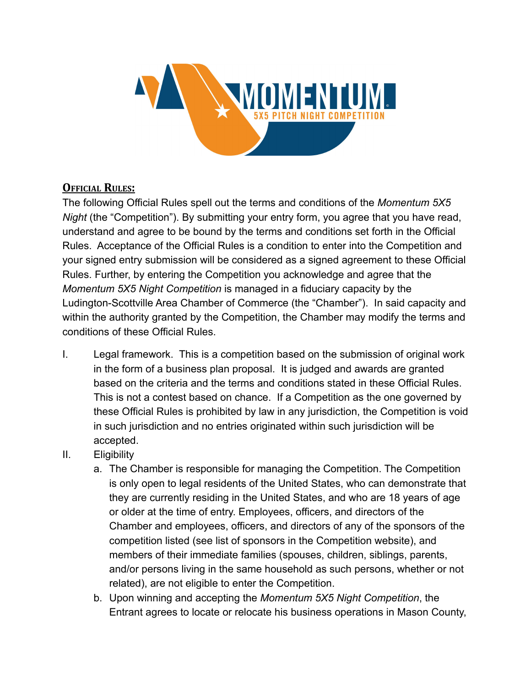

# **OFFICIAL RULES:**

The following Official Rules spell out the terms and conditions of the *Momentum 5X5 Night* (the "Competition"). By submitting your entry form, you agree that you have read, understand and agree to be bound by the terms and conditions set forth in the Official Rules. Acceptance of the Official Rules is a condition to enter into the Competition and your signed entry submission will be considered as a signed agreement to these Official Rules. Further, by entering the Competition you acknowledge and agree that the *Momentum 5X5 Night Competition* is managed in a fiduciary capacity by the Ludington-Scottville Area Chamber of Commerce (the "Chamber"). In said capacity and within the authority granted by the Competition, the Chamber may modify the terms and conditions of these Official Rules.

- I. Legal framework. This is a competition based on the submission of original work in the form of a business plan proposal. It is judged and awards are granted based on the criteria and the terms and conditions stated in these Official Rules. This is not a contest based on chance. If a Competition as the one governed by these Official Rules is prohibited by law in any jurisdiction, the Competition is void in such jurisdiction and no entries originated within such jurisdiction will be accepted.
- II. Eligibility
	- a. The Chamber is responsible for managing the Competition. The Competition is only open to legal residents of the United States, who can demonstrate that they are currently residing in the United States, and who are 18 years of age or older at the time of entry. Employees, officers, and directors of the Chamber and employees, officers, and directors of any of the sponsors of the competition listed (see list of sponsors in the Competition website), and members of their immediate families (spouses, children, siblings, parents, and/or persons living in the same household as such persons, whether or not related), are not eligible to enter the Competition.
	- b. Upon winning and accepting the *Momentum 5X5 Night Competition*, the Entrant agrees to locate or relocate his business operations in Mason County,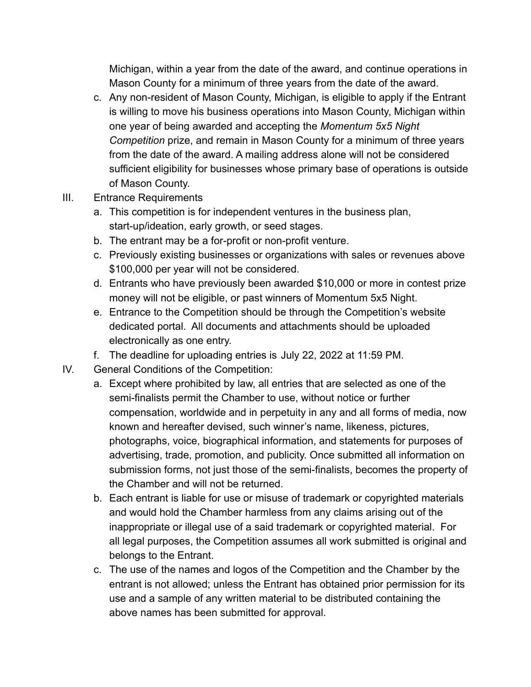Michigan, within a year from the date of the award, and continue operations in Mason County for a minimum of three years from the date of the award.

- c. Any non-resident of Mason County, Michigan, is eligible to apply if the Entrant is willing to move his business operations into Mason County, Michigan within one year of being awarded and accepting the *Momentum 5x5 Night Competition* prize, and remain in Mason County for a minimum of three years from the date of the award. A mailing address alone will not be considered sufficient eligibility for businesses whose primary base of operations is outside of Mason County.
- III. Entrance Requirements
	- a. This competition is for independent ventures in the business plan, start-up/ideation, early growth, or seed stages.
	- b. The entrant may be a for-profit or non-profit venture.
	- c. Previously existing businesses or organizations with sales or revenues above \$100,000 per year will not be considered.
	- d. Entrants who have previously been awarded \$10,000 or more in contest prize money will not be eligible, or past winners of Momentum 5x5 Night.
	- e. Entrance to the Competition should be through the Competition's website dedicated portal. All documents and attachments should be uploaded electronically as one entry.
	- f. The deadline for uploading entries is July 22, 2022 at 11:59 PM.
- IV. General Conditions of the Competition:
	- a. Except where prohibited by law, all entries that are selected as one of the semi-finalists permit the Chamber to use, without notice or further compensation, worldwide and in perpetuity in any and all forms of media, now known and hereafter devised, such winner's name, likeness, pictures, photographs, voice, biographical information, and statements for purposes of advertising, trade, promotion, and publicity. Once submitted all information on submission forms, not just those of the semi-finalists, becomes the property of the Chamber and will not be returned.
	- b. Each entrant is liable for use or misuse of trademark or copyrighted materials and would hold the Chamber harmless from any claims arising out of the inappropriate or illegal use of a said trademark or copyrighted material. For all legal purposes, the Competition assumes all work submitted is original and belongs to the Entrant.
	- c. The use of the names and logos of the Competition and the Chamber by the entrant is not allowed; unless the Entrant has obtained prior permission for its use and a sample of any written material to be distributed containing the above names has been submitted for approval.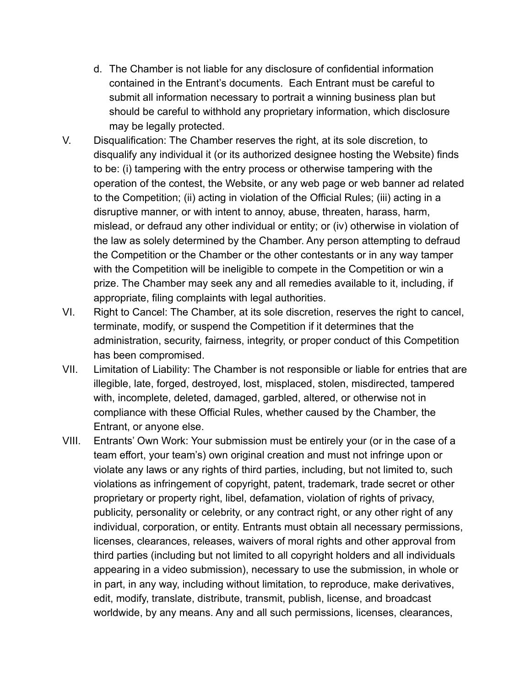- d. The Chamber is not liable for any disclosure of confidential information contained in the Entrant's documents. Each Entrant must be careful to submit all information necessary to portrait a winning business plan but should be careful to withhold any proprietary information, which disclosure may be legally protected.
- V. Disqualification: The Chamber reserves the right, at its sole discretion, to disqualify any individual it (or its authorized designee hosting the Website) finds to be: (i) tampering with the entry process or otherwise tampering with the operation of the contest, the Website, or any web page or web banner ad related to the Competition; (ii) acting in violation of the Official Rules; (iii) acting in a disruptive manner, or with intent to annoy, abuse, threaten, harass, harm, mislead, or defraud any other individual or entity; or (iv) otherwise in violation of the law as solely determined by the Chamber. Any person attempting to defraud the Competition or the Chamber or the other contestants or in any way tamper with the Competition will be ineligible to compete in the Competition or win a prize. The Chamber may seek any and all remedies available to it, including, if appropriate, filing complaints with legal authorities.
- VI. Right to Cancel: The Chamber, at its sole discretion, reserves the right to cancel, terminate, modify, or suspend the Competition if it determines that the administration, security, fairness, integrity, or proper conduct of this Competition has been compromised.
- VII. Limitation of Liability: The Chamber is not responsible or liable for entries that are illegible, late, forged, destroyed, lost, misplaced, stolen, misdirected, tampered with, incomplete, deleted, damaged, garbled, altered, or otherwise not in compliance with these Official Rules, whether caused by the Chamber, the Entrant, or anyone else.
- VIII. Entrants' Own Work: Your submission must be entirely your (or in the case of a team effort, your team's) own original creation and must not infringe upon or violate any laws or any rights of third parties, including, but not limited to, such violations as infringement of copyright, patent, trademark, trade secret or other proprietary or property right, libel, defamation, violation of rights of privacy, publicity, personality or celebrity, or any contract right, or any other right of any individual, corporation, or entity. Entrants must obtain all necessary permissions, licenses, clearances, releases, waivers of moral rights and other approval from third parties (including but not limited to all copyright holders and all individuals appearing in a video submission), necessary to use the submission, in whole or in part, in any way, including without limitation, to reproduce, make derivatives, edit, modify, translate, distribute, transmit, publish, license, and broadcast worldwide, by any means. Any and all such permissions, licenses, clearances,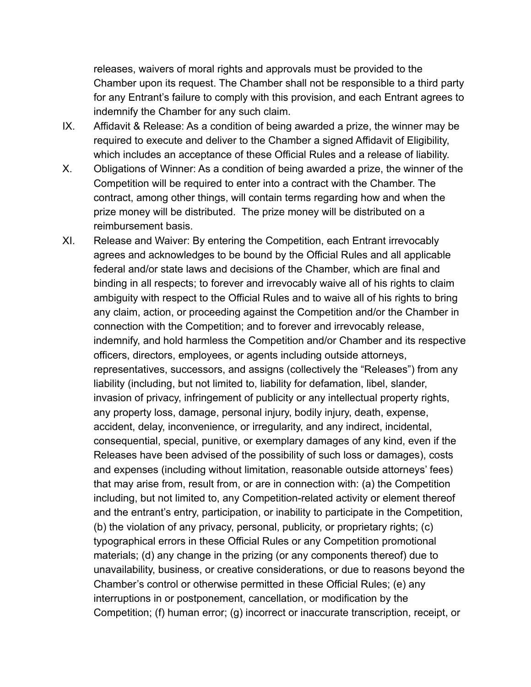releases, waivers of moral rights and approvals must be provided to the Chamber upon its request. The Chamber shall not be responsible to a third party for any Entrant's failure to comply with this provision, and each Entrant agrees to indemnify the Chamber for any such claim.

- IX. Affidavit & Release: As a condition of being awarded a prize, the winner may be required to execute and deliver to the Chamber a signed Affidavit of Eligibility, which includes an acceptance of these Official Rules and a release of liability.
- X. Obligations of Winner: As a condition of being awarded a prize, the winner of the Competition will be required to enter into a contract with the Chamber. The contract, among other things, will contain terms regarding how and when the prize money will be distributed. The prize money will be distributed on a reimbursement basis.
- XI. Release and Waiver: By entering the Competition, each Entrant irrevocably agrees and acknowledges to be bound by the Official Rules and all applicable federal and/or state laws and decisions of the Chamber, which are final and binding in all respects; to forever and irrevocably waive all of his rights to claim ambiguity with respect to the Official Rules and to waive all of his rights to bring any claim, action, or proceeding against the Competition and/or the Chamber in connection with the Competition; and to forever and irrevocably release, indemnify, and hold harmless the Competition and/or Chamber and its respective officers, directors, employees, or agents including outside attorneys, representatives, successors, and assigns (collectively the "Releases") from any liability (including, but not limited to, liability for defamation, libel, slander, invasion of privacy, infringement of publicity or any intellectual property rights, any property loss, damage, personal injury, bodily injury, death, expense, accident, delay, inconvenience, or irregularity, and any indirect, incidental, consequential, special, punitive, or exemplary damages of any kind, even if the Releases have been advised of the possibility of such loss or damages), costs and expenses (including without limitation, reasonable outside attorneys' fees) that may arise from, result from, or are in connection with: (a) the Competition including, but not limited to, any Competition-related activity or element thereof and the entrant's entry, participation, or inability to participate in the Competition, (b) the violation of any privacy, personal, publicity, or proprietary rights; (c) typographical errors in these Official Rules or any Competition promotional materials; (d) any change in the prizing (or any components thereof) due to unavailability, business, or creative considerations, or due to reasons beyond the Chamber's control or otherwise permitted in these Official Rules; (e) any interruptions in or postponement, cancellation, or modification by the Competition; (f) human error; (g) incorrect or inaccurate transcription, receipt, or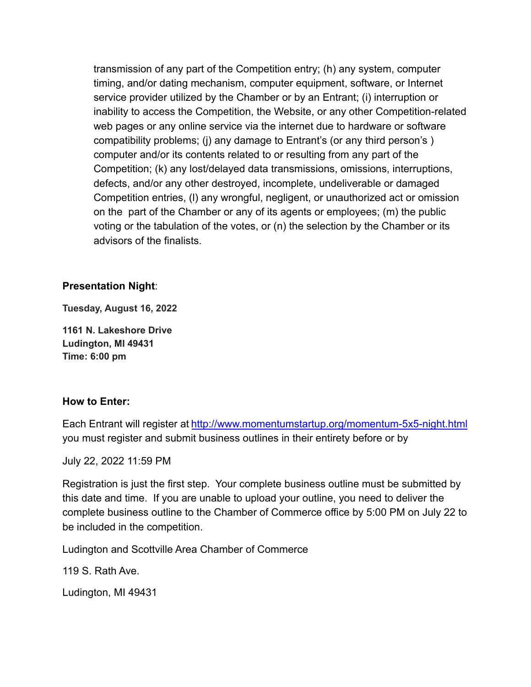transmission of any part of the Competition entry; (h) any system, computer timing, and/or dating mechanism, computer equipment, software, or Internet service provider utilized by the Chamber or by an Entrant; (i) interruption or inability to access the Competition, the Website, or any other Competition-related web pages or any online service via the internet due to hardware or software compatibility problems; (j) any damage to Entrant's (or any third person's ) computer and/or its contents related to or resulting from any part of the Competition; (k) any lost/delayed data transmissions, omissions, interruptions, defects, and/or any other destroyed, incomplete, undeliverable or damaged Competition entries, (l) any wrongful, negligent, or unauthorized act or omission on the part of the Chamber or any of its agents or employees; (m) the public voting or the tabulation of the votes, or (n) the selection by the Chamber or its advisors of the finalists.

#### **Presentation Night**:

**Tuesday, August 16, 2022**

**1161 N. Lakeshore Drive Ludington, MI 49431 Time: 6:00 pm**

#### **How to Enter:**

Each Entrant will register at <http://www.momentumstartup.org/momentum-5x5-night.html> you must register and submit business outlines in their entirety before or by

July 22, 2022 11:59 PM

Registration is just the first step. Your complete business outline must be submitted by this date and time. If you are unable to upload your outline, you need to deliver the complete business outline to the Chamber of Commerce office by 5:00 PM on July 22 to be included in the competition.

Ludington and Scottville Area Chamber of Commerce

119 S. Rath Ave.

Ludington, MI 49431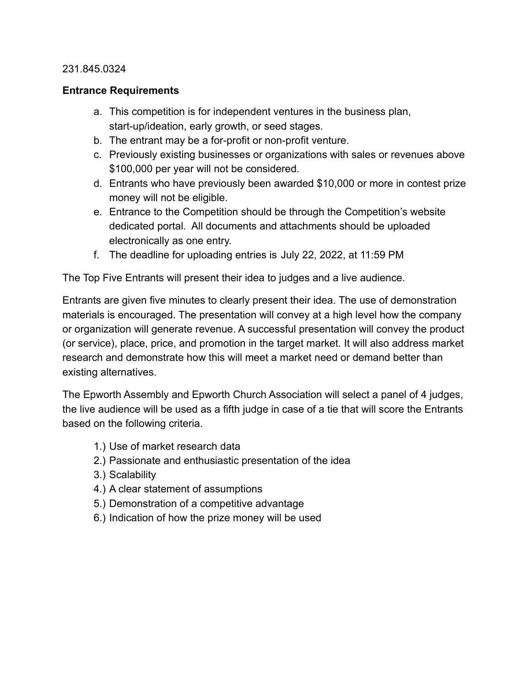#### 231.845.0324

#### **Entrance Requirements**

- a. This competition is for independent ventures in the business plan, start-up/ideation, early growth, or seed stages.
- b. The entrant may be a for-profit or non-profit venture.
- c. Previously existing businesses or organizations with sales or revenues above \$100,000 per year will not be considered.
- d. Entrants who have previously been awarded \$10,000 or more in contest prize money will not be eligible.
- e. Entrance to the Competition should be through the Competition's website dedicated portal. All documents and attachments should be uploaded electronically as one entry.
- f. The deadline for uploading entries is July 22, 2022, at 11:59 PM

The Top Five Entrants will present their idea to judges and a live audience.

Entrants are given five minutes to clearly present their idea. The use of demonstration materials is encouraged. The presentation will convey at a high level how the company or organization will generate revenue. A successful presentation will convey the product (or service), place, price, and promotion in the target market. It will also address market research and demonstrate how this will meet a market need or demand better than existing alternatives.

The Epworth Assembly and Epworth Church Association will select a panel of 4 judges, the live audience will be used as a fifth judge in case of a tie that will score the Entrants based on the following criteria.

- 1.) Use of market research data
- 2.) Passionate and enthusiastic presentation of the idea
- 3.) Scalability
- 4.) A clear statement of assumptions
- 5.) Demonstration of a competitive advantage
- 6.) Indication of how the prize money will be used